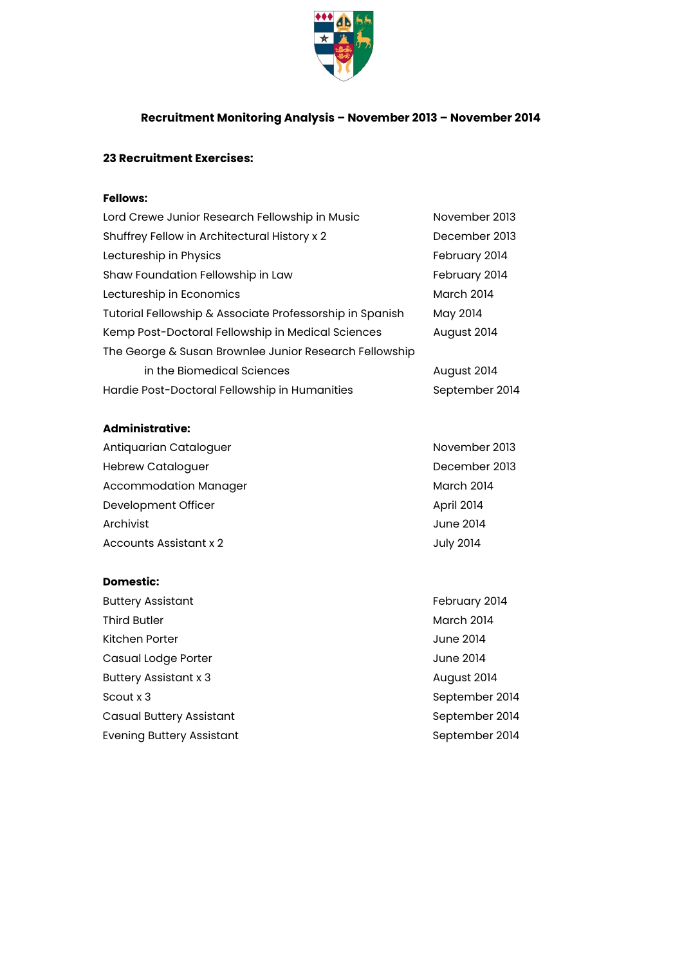

## **Recruitment Monitoring Analysis – November 2013 – November 2014**

# **23 Recruitment Exercises:**

## **Fellows:**

| Lord Crewe Junior Research Fellowship in Music           | November 2013     |
|----------------------------------------------------------|-------------------|
| Shuffrey Fellow in Architectural History x 2             | December 2013     |
| Lectureship in Physics                                   | February 2014     |
| Shaw Foundation Fellowship in Law                        | February 2014     |
| Lectureship in Economics                                 | <b>March 2014</b> |
| Tutorial Fellowship & Associate Professorship in Spanish | May 2014          |
| Kemp Post-Doctoral Fellowship in Medical Sciences        | August 2014       |
| The George & Susan Brownlee Junior Research Fellowship   |                   |
| in the Biomedical Sciences                               | August 2014       |
| Hardie Post-Doctoral Fellowship in Humanities            | September 2014    |

#### **Administrative:**

| Antiquarian Cataloguer       | November 2013     |
|------------------------------|-------------------|
| <b>Hebrew Cataloguer</b>     | December 2013     |
| <b>Accommodation Manager</b> | <b>March 2014</b> |
| Development Officer          | <b>April 2014</b> |
| Archivist                    | June 2014         |
| Accounts Assistant x 2       | <b>July 2014</b>  |

#### **Domestic:**

Buttery Assistant **February 2014** Third Butler March 2014 Kitchen Porter and The Second State of the United States of the United States of the United States of the United States of the United States of the United States of the United States of the United States of the United Stat Casual Lodge Porter and The Casual Lodge Porter and The Casual Lodge Porter and The Casual Lodge Porter and The Casual Lodge Porter and The Casual Lodge Porter and The Casual Lodge Porter and The Casual Lodge Porter and Th Buttery Assistant x 3 August 2014 Scout x 3 September 2014 Casual Buttery Assistant Casual Buttery Assistant September 2014 Evening Buttery Assistant September 2014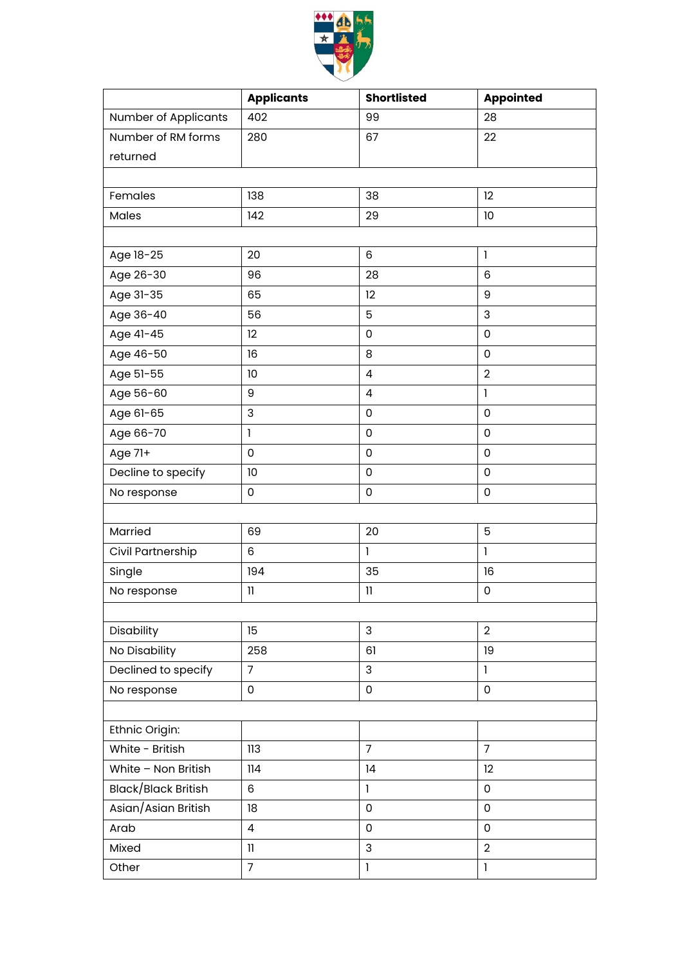

|                            | <b>Applicants</b> | <b>Shortlisted</b>  | <b>Appointed</b>    |  |  |  |
|----------------------------|-------------------|---------------------|---------------------|--|--|--|
| Number of Applicants       | 402               | 99                  | 28                  |  |  |  |
| Number of RM forms         | 280               | 67                  | 22                  |  |  |  |
| returned                   |                   |                     |                     |  |  |  |
|                            |                   |                     |                     |  |  |  |
| Females                    | 138               | 38                  | 12                  |  |  |  |
| Males                      | 142               | 29                  | 10                  |  |  |  |
|                            |                   |                     |                     |  |  |  |
| Age 18-25                  | 20                | 6                   | $\mathbf{I}$        |  |  |  |
| Age 26-30                  | 96                | 28                  | 6                   |  |  |  |
| Age 31-35                  | 65                | 12                  | 9                   |  |  |  |
| Age 36-40                  | 56                | 5                   | 3                   |  |  |  |
| Age 41-45                  | 12                | $\mathsf 0$         | $\mathsf 0$         |  |  |  |
| Age 46-50                  | 16                | 8                   | 0                   |  |  |  |
| Age 51-55                  | 10                | $\pmb{4}$           | $\overline{2}$      |  |  |  |
| Age 56-60                  | 9                 | $\overline{4}$      | $\mathbf{I}$        |  |  |  |
| Age 61-65                  | 3                 | 0                   | $\mathsf{O}\xspace$ |  |  |  |
| Age 66-70                  | $\mathbf{I}$      | $\mathsf 0$         | 0                   |  |  |  |
| Age 71+                    | $\mathbf 0$       | $\mathbf 0$         | $\mathbf 0$         |  |  |  |
| Decline to specify         | 10                | $\mathsf 0$         | 0                   |  |  |  |
| No response                | $\mathsf 0$       | $\mathsf{O}\xspace$ | $\mathsf{O}\xspace$ |  |  |  |
|                            |                   |                     |                     |  |  |  |
| Married                    | 69                | 20                  | 5                   |  |  |  |
| Civil Partnership          | 6                 | $\mathbf{I}$        | $\mathbf{I}$        |  |  |  |
| Single                     | 194               | 35                  | 16                  |  |  |  |
| No response                | $\mathbf{1}$      | $\mathbf{1}$        | 0                   |  |  |  |
|                            |                   |                     |                     |  |  |  |
| Disability                 | 15                | 3                   | $\overline{2}$      |  |  |  |
| No Disability              | 258               | 61                  | 19                  |  |  |  |
| Declined to specify        | $\overline{7}$    | 3                   | $\mathbf{I}$        |  |  |  |
| No response                | $\mathsf 0$       | $\mathsf 0$         | $\mathsf 0$         |  |  |  |
|                            |                   |                     |                     |  |  |  |
| Ethnic Origin:             |                   |                     |                     |  |  |  |
| White - British            | 113               | $\overline{7}$      | $\overline{7}$      |  |  |  |
| White - Non British        | 114               | 14                  | 12                  |  |  |  |
| <b>Black/Black British</b> | 6                 | $\mathbf{I}$        | $\mathsf 0$         |  |  |  |
| Asian/Asian British        | 18                | $\mathsf 0$         | $\mathsf 0$         |  |  |  |
| Arab                       | $\overline{a}$    | 0                   | 0                   |  |  |  |
| Mixed                      | $\mathbf{I}$      | 3                   | $\overline{2}$      |  |  |  |
| Other                      | $\overline{7}$    | $\mathbf{I}$        | $\mathbf{I}$        |  |  |  |